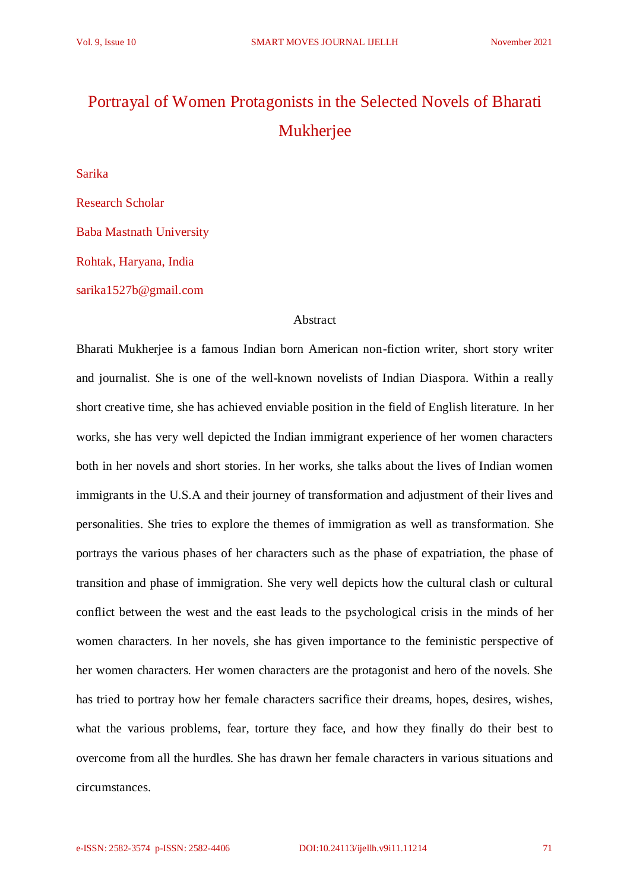## Portrayal of Women Protagonists in the Selected Novels of Bharati Mukherjee

Sarika

Research Scholar Baba Mastnath University Rohtak, Haryana, India sarika1527b@gmail.com

## Abstract

Bharati Mukherjee is a famous Indian born American non-fiction writer, short story writer and journalist. She is one of the well-known novelists of Indian Diaspora. Within a really short creative time, she has achieved enviable position in the field of English literature. In her works, she has very well depicted the Indian immigrant experience of her women characters both in her novels and short stories. In her works, she talks about the lives of Indian women immigrants in the U.S.A and their journey of transformation and adjustment of their lives and personalities. She tries to explore the themes of immigration as well as transformation. She portrays the various phases of her characters such as the phase of expatriation, the phase of transition and phase of immigration. She very well depicts how the cultural clash or cultural conflict between the west and the east leads to the psychological crisis in the minds of her women characters. In her novels, she has given importance to the feministic perspective of her women characters. Her women characters are the protagonist and hero of the novels. She has tried to portray how her female characters sacrifice their dreams, hopes, desires, wishes, what the various problems, fear, torture they face, and how they finally do their best to overcome from all the hurdles. She has drawn her female characters in various situations and circumstances.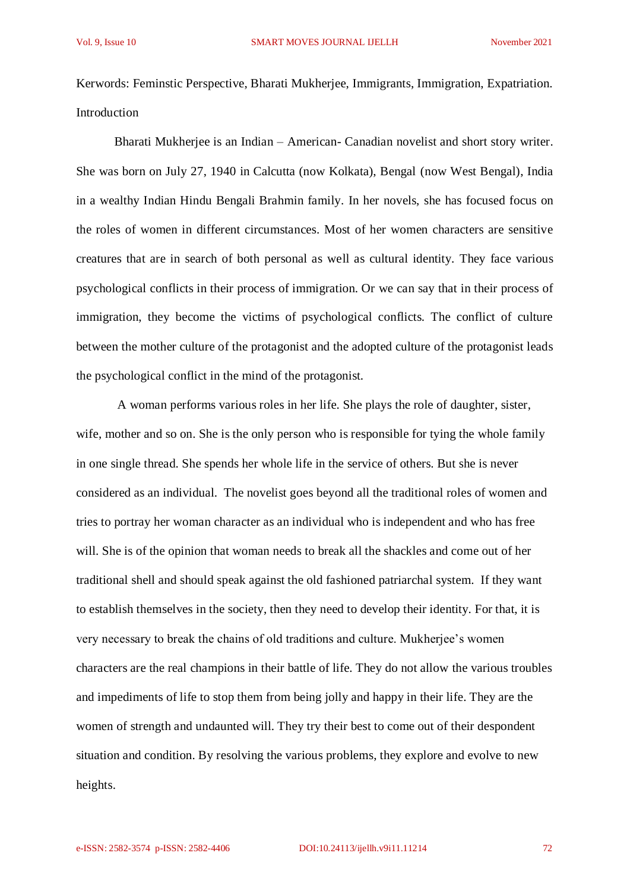Kerwords: Feminstic Perspective, Bharati Mukherjee, Immigrants, Immigration, Expatriation. Introduction

Bharati Mukherjee is an Indian – American- Canadian novelist and short story writer. She was born on July 27, 1940 in Calcutta (now Kolkata), Bengal (now West Bengal), India in a wealthy Indian Hindu Bengali Brahmin family. In her novels, she has focused focus on the roles of women in different circumstances. Most of her women characters are sensitive creatures that are in search of both personal as well as cultural identity. They face various psychological conflicts in their process of immigration. Or we can say that in their process of immigration, they become the victims of psychological conflicts. The conflict of culture between the mother culture of the protagonist and the adopted culture of the protagonist leads the psychological conflict in the mind of the protagonist.

A woman performs various roles in her life. She plays the role of daughter, sister, wife, mother and so on. She is the only person who is responsible for tying the whole family in one single thread. She spends her whole life in the service of others. But she is never considered as an individual. The novelist goes beyond all the traditional roles of women and tries to portray her woman character as an individual who is independent and who has free will. She is of the opinion that woman needs to break all the shackles and come out of her traditional shell and should speak against the old fashioned patriarchal system. If they want to establish themselves in the society, then they need to develop their identity. For that, it is very necessary to break the chains of old traditions and culture. Mukherjee's women characters are the real champions in their battle of life. They do not allow the various troubles and impediments of life to stop them from being jolly and happy in their life. They are the women of strength and undaunted will. They try their best to come out of their despondent situation and condition. By resolving the various problems, they explore and evolve to new heights.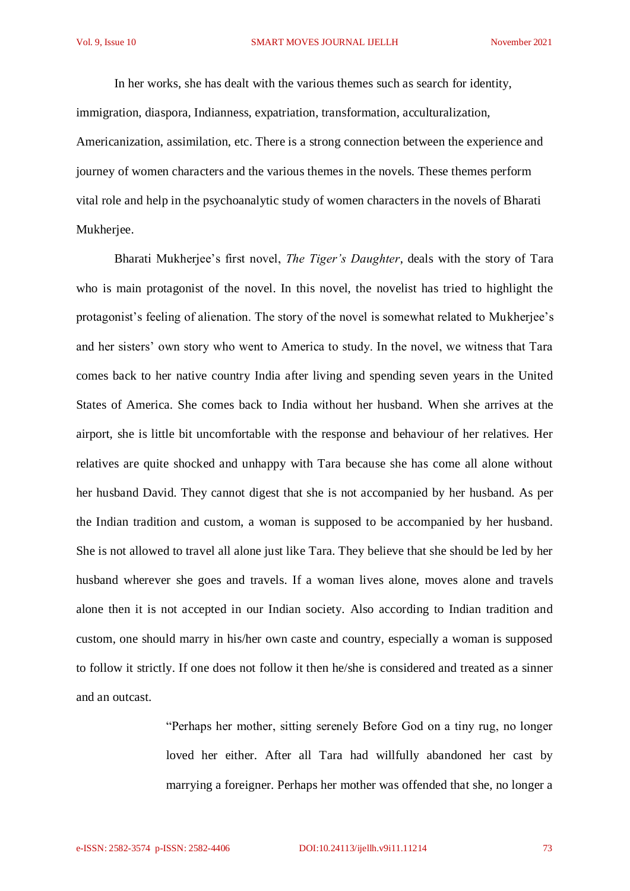In her works, she has dealt with the various themes such as search for identity, immigration, diaspora, Indianness, expatriation, transformation, acculturalization, Americanization, assimilation, etc. There is a strong connection between the experience and journey of women characters and the various themes in the novels. These themes perform vital role and help in the psychoanalytic study of women characters in the novels of Bharati Mukherjee.

Bharati Mukherjee's first novel, *The Tiger's Daughter*, deals with the story of Tara who is main protagonist of the novel. In this novel, the novelist has tried to highlight the protagonist's feeling of alienation. The story of the novel is somewhat related to Mukherjee's and her sisters' own story who went to America to study. In the novel, we witness that Tara comes back to her native country India after living and spending seven years in the United States of America. She comes back to India without her husband. When she arrives at the airport, she is little bit uncomfortable with the response and behaviour of her relatives. Her relatives are quite shocked and unhappy with Tara because she has come all alone without her husband David. They cannot digest that she is not accompanied by her husband. As per the Indian tradition and custom, a woman is supposed to be accompanied by her husband. She is not allowed to travel all alone just like Tara. They believe that she should be led by her husband wherever she goes and travels. If a woman lives alone, moves alone and travels alone then it is not accepted in our Indian society. Also according to Indian tradition and custom, one should marry in his/her own caste and country, especially a woman is supposed to follow it strictly. If one does not follow it then he/she is considered and treated as a sinner and an outcast.

> "Perhaps her mother, sitting serenely Before God on a tiny rug, no longer loved her either. After all Tara had willfully abandoned her cast by marrying a foreigner. Perhaps her mother was offended that she, no longer a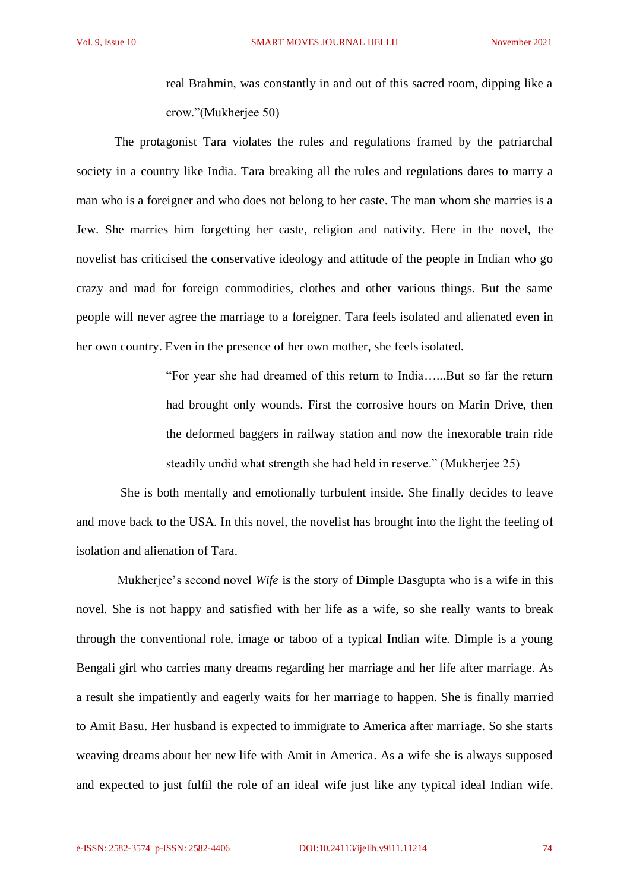real Brahmin, was constantly in and out of this sacred room, dipping like a crow."(Mukherjee 50)

The protagonist Tara violates the rules and regulations framed by the patriarchal society in a country like India. Tara breaking all the rules and regulations dares to marry a man who is a foreigner and who does not belong to her caste. The man whom she marries is a Jew. She marries him forgetting her caste, religion and nativity. Here in the novel, the novelist has criticised the conservative ideology and attitude of the people in Indian who go crazy and mad for foreign commodities, clothes and other various things. But the same people will never agree the marriage to a foreigner. Tara feels isolated and alienated even in her own country. Even in the presence of her own mother, she feels isolated.

> "For year she had dreamed of this return to India…...But so far the return had brought only wounds. First the corrosive hours on Marin Drive, then the deformed baggers in railway station and now the inexorable train ride steadily undid what strength she had held in reserve." (Mukherjee 25)

 She is both mentally and emotionally turbulent inside. She finally decides to leave and move back to the USA. In this novel, the novelist has brought into the light the feeling of isolation and alienation of Tara.

Mukherjee's second novel *Wife* is the story of Dimple Dasgupta who is a wife in this novel. She is not happy and satisfied with her life as a wife, so she really wants to break through the conventional role, image or taboo of a typical Indian wife. Dimple is a young Bengali girl who carries many dreams regarding her marriage and her life after marriage. As a result she impatiently and eagerly waits for her marriage to happen. She is finally married to Amit Basu. Her husband is expected to immigrate to America after marriage. So she starts weaving dreams about her new life with Amit in America. As a wife she is always supposed and expected to just fulfil the role of an ideal wife just like any typical ideal Indian wife.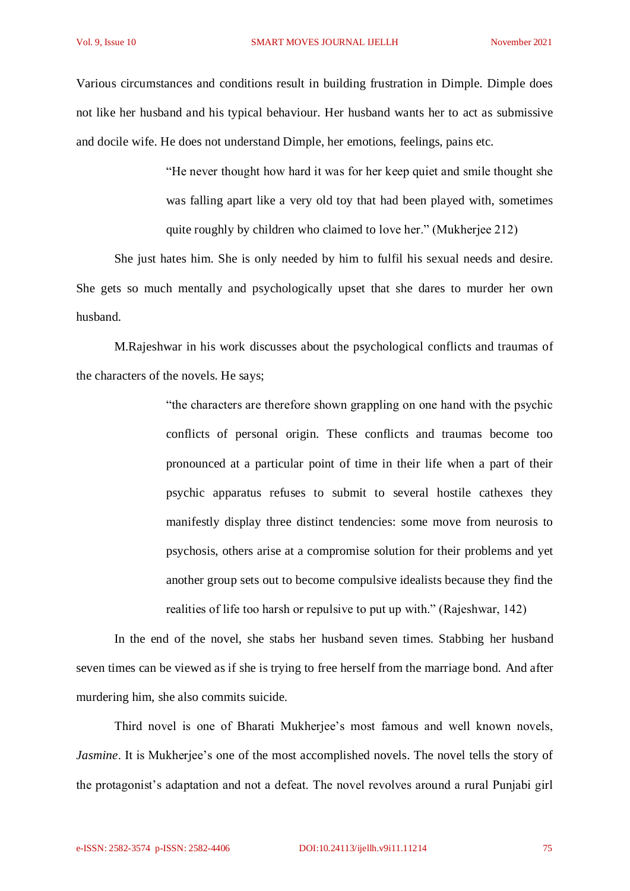Various circumstances and conditions result in building frustration in Dimple. Dimple does not like her husband and his typical behaviour. Her husband wants her to act as submissive and docile wife. He does not understand Dimple, her emotions, feelings, pains etc.

> "He never thought how hard it was for her keep quiet and smile thought she was falling apart like a very old toy that had been played with, sometimes quite roughly by children who claimed to love her." (Mukherjee 212)

She just hates him. She is only needed by him to fulfil his sexual needs and desire. She gets so much mentally and psychologically upset that she dares to murder her own husband.

M.Rajeshwar in his work discusses about the psychological conflicts and traumas of the characters of the novels. He says;

> "the characters are therefore shown grappling on one hand with the psychic conflicts of personal origin. These conflicts and traumas become too pronounced at a particular point of time in their life when a part of their psychic apparatus refuses to submit to several hostile cathexes they manifestly display three distinct tendencies: some move from neurosis to psychosis, others arise at a compromise solution for their problems and yet another group sets out to become compulsive idealists because they find the realities of life too harsh or repulsive to put up with." (Rajeshwar, 142)

In the end of the novel, she stabs her husband seven times. Stabbing her husband seven times can be viewed as if she is trying to free herself from the marriage bond. And after murdering him, she also commits suicide.

Third novel is one of Bharati Mukherjee's most famous and well known novels, *Jasmine*. It is Mukherjee's one of the most accomplished novels. The novel tells the story of the protagonist's adaptation and not a defeat. The novel revolves around a rural Punjabi girl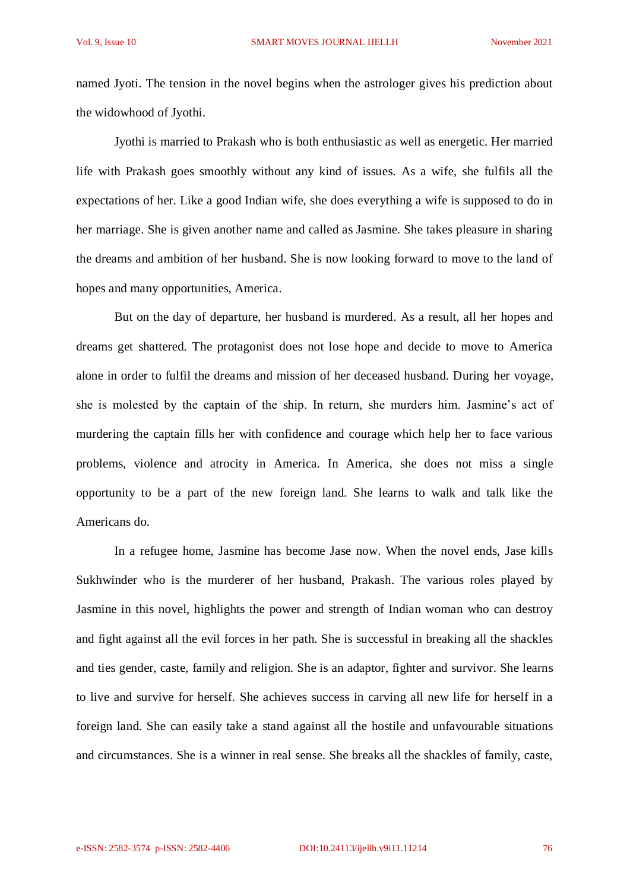named Jyoti. The tension in the novel begins when the astrologer gives his prediction about the widowhood of Jyothi.

Jyothi is married to Prakash who is both enthusiastic as well as energetic. Her married life with Prakash goes smoothly without any kind of issues. As a wife, she fulfils all the expectations of her. Like a good Indian wife, she does everything a wife is supposed to do in her marriage. She is given another name and called as Jasmine. She takes pleasure in sharing the dreams and ambition of her husband. She is now looking forward to move to the land of hopes and many opportunities, America.

But on the day of departure, her husband is murdered. As a result, all her hopes and dreams get shattered. The protagonist does not lose hope and decide to move to America alone in order to fulfil the dreams and mission of her deceased husband. During her voyage, she is molested by the captain of the ship. In return, she murders him. Jasmine's act of murdering the captain fills her with confidence and courage which help her to face various problems, violence and atrocity in America. In America, she does not miss a single opportunity to be a part of the new foreign land. She learns to walk and talk like the Americans do.

In a refugee home, Jasmine has become Jase now. When the novel ends, Jase kills Sukhwinder who is the murderer of her husband, Prakash. The various roles played by Jasmine in this novel, highlights the power and strength of Indian woman who can destroy and fight against all the evil forces in her path. She is successful in breaking all the shackles and ties gender, caste, family and religion. She is an adaptor, fighter and survivor. She learns to live and survive for herself. She achieves success in carving all new life for herself in a foreign land. She can easily take a stand against all the hostile and unfavourable situations and circumstances. She is a winner in real sense. She breaks all the shackles of family, caste,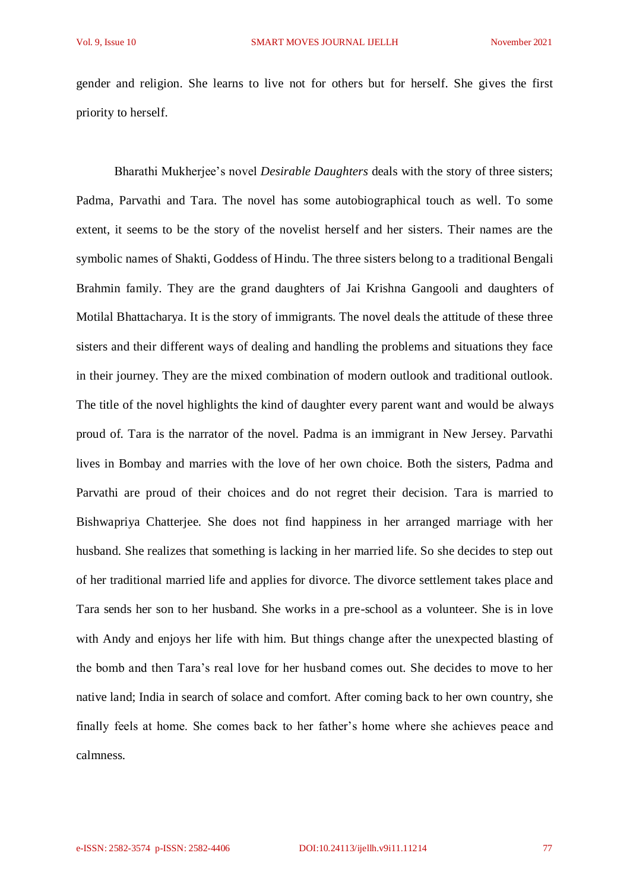gender and religion. She learns to live not for others but for herself. She gives the first priority to herself.

Bharathi Mukherjee's novel *Desirable Daughters* deals with the story of three sisters; Padma, Parvathi and Tara. The novel has some autobiographical touch as well. To some extent, it seems to be the story of the novelist herself and her sisters. Their names are the symbolic names of Shakti, Goddess of Hindu. The three sisters belong to a traditional Bengali Brahmin family. They are the grand daughters of Jai Krishna Gangooli and daughters of Motilal Bhattacharya. It is the story of immigrants. The novel deals the attitude of these three sisters and their different ways of dealing and handling the problems and situations they face in their journey. They are the mixed combination of modern outlook and traditional outlook. The title of the novel highlights the kind of daughter every parent want and would be always proud of. Tara is the narrator of the novel. Padma is an immigrant in New Jersey. Parvathi lives in Bombay and marries with the love of her own choice. Both the sisters, Padma and Parvathi are proud of their choices and do not regret their decision. Tara is married to Bishwapriya Chatterjee. She does not find happiness in her arranged marriage with her husband. She realizes that something is lacking in her married life. So she decides to step out of her traditional married life and applies for divorce. The divorce settlement takes place and Tara sends her son to her husband. She works in a pre-school as a volunteer. She is in love with Andy and enjoys her life with him. But things change after the unexpected blasting of the bomb and then Tara's real love for her husband comes out. She decides to move to her native land; India in search of solace and comfort. After coming back to her own country, she finally feels at home. She comes back to her father's home where she achieves peace and calmness.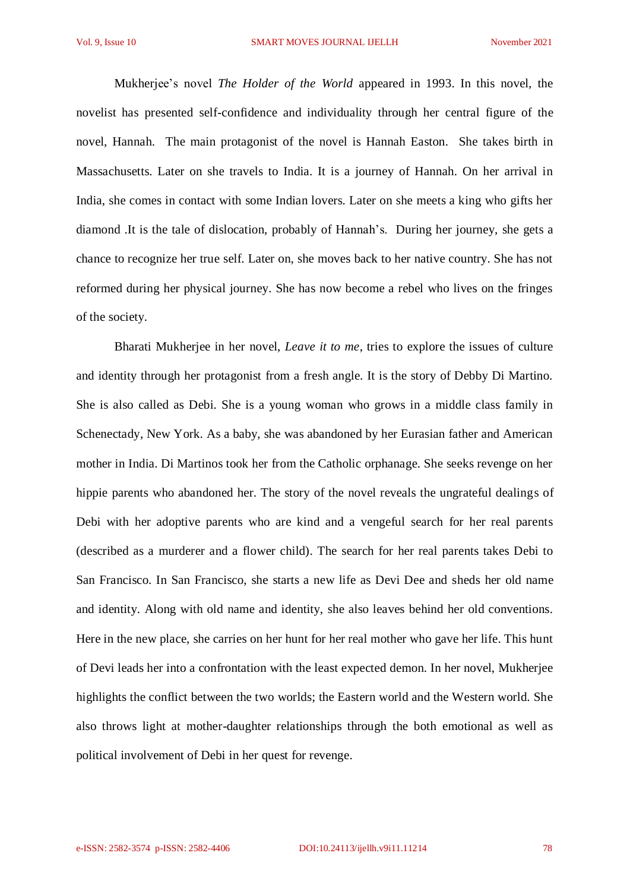Mukherjee's novel *The Holder of the World* appeared in 1993. In this novel, the novelist has presented self-confidence and individuality through her central figure of the novel, Hannah. The main protagonist of the novel is Hannah Easton. She takes birth in Massachusetts. Later on she travels to India. It is a journey of Hannah. On her arrival in India, she comes in contact with some Indian lovers. Later on she meets a king who gifts her diamond .It is the tale of dislocation, probably of Hannah's. During her journey, she gets a chance to recognize her true self. Later on, she moves back to her native country. She has not reformed during her physical journey. She has now become a rebel who lives on the fringes of the society.

Bharati Mukherjee in her novel, *Leave it to me*, tries to explore the issues of culture and identity through her protagonist from a fresh angle. It is the story of Debby Di Martino. She is also called as Debi. She is a young woman who grows in a middle class family in Schenectady, New York. As a baby, she was abandoned by her Eurasian father and American mother in India. Di Martinos took her from the Catholic orphanage. She seeks revenge on her hippie parents who abandoned her. The story of the novel reveals the ungrateful dealings of Debi with her adoptive parents who are kind and a vengeful search for her real parents (described as a murderer and a flower child). The search for her real parents takes Debi to San Francisco. In San Francisco, she starts a new life as Devi Dee and sheds her old name and identity. Along with old name and identity, she also leaves behind her old conventions. Here in the new place, she carries on her hunt for her real mother who gave her life. This hunt of Devi leads her into a confrontation with the least expected demon. In her novel, Mukherjee highlights the conflict between the two worlds; the Eastern world and the Western world. She also throws light at mother-daughter relationships through the both emotional as well as political involvement of Debi in her quest for revenge.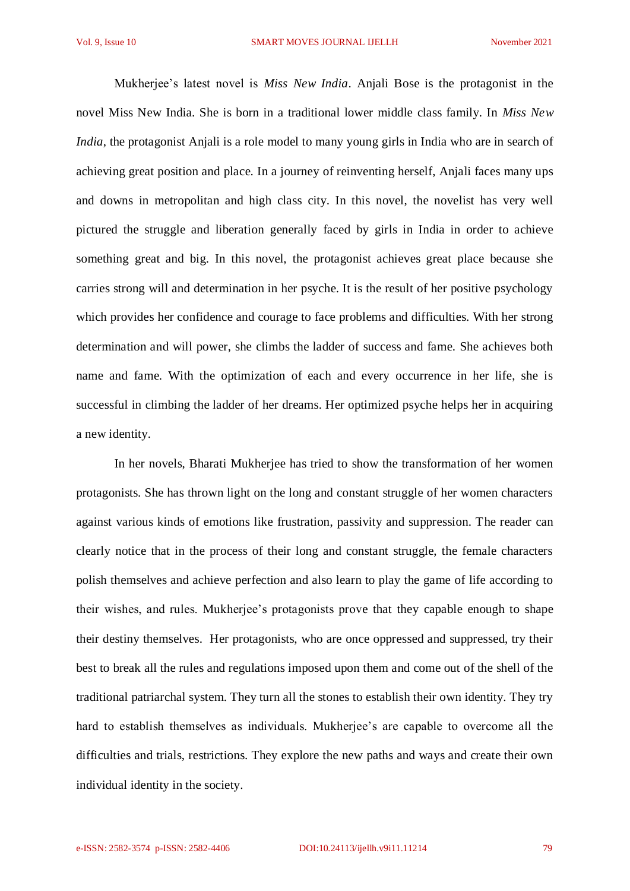Mukherjee's latest novel is *Miss New India*. Anjali Bose is the protagonist in the novel Miss New India. She is born in a traditional lower middle class family. In *Miss New India*, the protagonist Anjali is a role model to many young girls in India who are in search of achieving great position and place. In a journey of reinventing herself, Anjali faces many ups and downs in metropolitan and high class city. In this novel, the novelist has very well pictured the struggle and liberation generally faced by girls in India in order to achieve something great and big. In this novel, the protagonist achieves great place because she carries strong will and determination in her psyche. It is the result of her positive psychology which provides her confidence and courage to face problems and difficulties. With her strong determination and will power, she climbs the ladder of success and fame. She achieves both name and fame. With the optimization of each and every occurrence in her life, she is successful in climbing the ladder of her dreams. Her optimized psyche helps her in acquiring a new identity.

In her novels, Bharati Mukherjee has tried to show the transformation of her women protagonists. She has thrown light on the long and constant struggle of her women characters against various kinds of emotions like frustration, passivity and suppression. The reader can clearly notice that in the process of their long and constant struggle, the female characters polish themselves and achieve perfection and also learn to play the game of life according to their wishes, and rules. Mukherjee's protagonists prove that they capable enough to shape their destiny themselves. Her protagonists, who are once oppressed and suppressed, try their best to break all the rules and regulations imposed upon them and come out of the shell of the traditional patriarchal system. They turn all the stones to establish their own identity. They try hard to establish themselves as individuals. Mukherjee's are capable to overcome all the difficulties and trials, restrictions. They explore the new paths and ways and create their own individual identity in the society.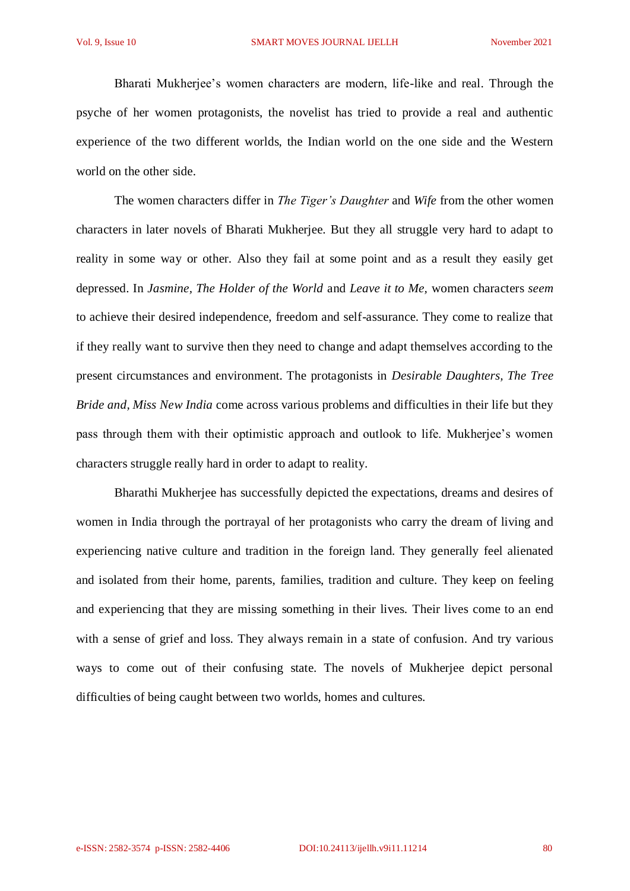Bharati Mukherjee's women characters are modern, life-like and real. Through the psyche of her women protagonists, the novelist has tried to provide a real and authentic experience of the two different worlds, the Indian world on the one side and the Western world on the other side.

The women characters differ in *The Tiger's Daughter* and *Wife* from the other women characters in later novels of Bharati Mukherjee. But they all struggle very hard to adapt to reality in some way or other. Also they fail at some point and as a result they easily get depressed. In *Jasmine, The Holder of the World* and *Leave it to Me,* women characters *seem* to achieve their desired independence, freedom and self-assurance. They come to realize that if they really want to survive then they need to change and adapt themselves according to the present circumstances and environment. The protagonists in *Desirable Daughters, The Tree Bride and, Miss New India* come across various problems and difficulties in their life but they pass through them with their optimistic approach and outlook to life. Mukherjee's women characters struggle really hard in order to adapt to reality.

Bharathi Mukherjee has successfully depicted the expectations, dreams and desires of women in India through the portrayal of her protagonists who carry the dream of living and experiencing native culture and tradition in the foreign land. They generally feel alienated and isolated from their home, parents, families, tradition and culture. They keep on feeling and experiencing that they are missing something in their lives. Their lives come to an end with a sense of grief and loss. They always remain in a state of confusion. And try various ways to come out of their confusing state. The novels of Mukherjee depict personal difficulties of being caught between two worlds, homes and cultures.